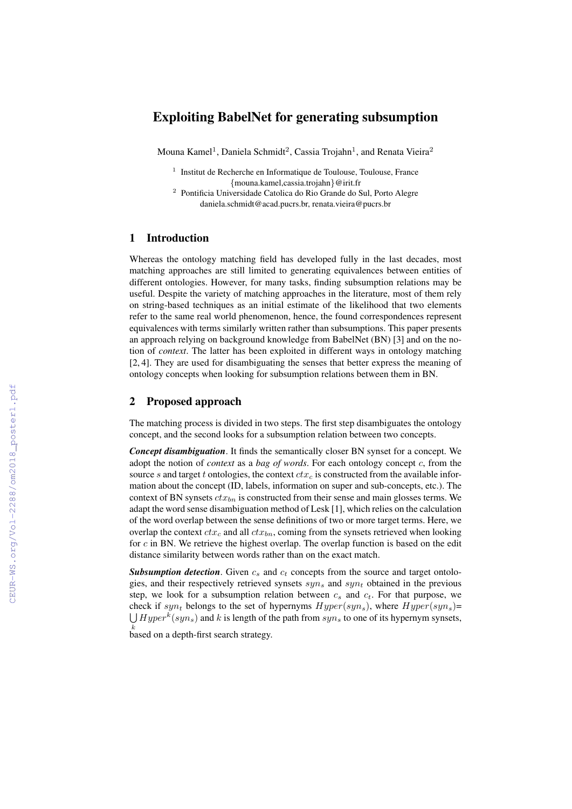# Exploiting BabelNet for generating subsumption

Mouna Kamel $^1$ , Daniela Schmidt $^2$ , Cassia Trojahn $^1$ , and Renata Vieira $^2$ 

- <sup>1</sup> Institut de Recherche en Informatique de Toulouse, Toulouse, France {mouna.kamel,cassia.trojahn}@irit.fr
- <sup>2</sup> Pontificia Universidade Catolica do Rio Grande do Sul, Porto Alegre daniela.schmidt@acad.pucrs.br, renata.vieira@pucrs.br

## 1 Introduction

Whereas the ontology matching field has developed fully in the last decades, most matching approaches are still limited to generating equivalences between entities of different ontologies. However, for many tasks, finding subsumption relations may be useful. Despite the variety of matching approaches in the literature, most of them rely on string-based techniques as an initial estimate of the likelihood that two elements refer to the same real world phenomenon, hence, the found correspondences represent equivalences with terms similarly written rather than subsumptions. This paper presents an approach relying on background knowledge from BabelNet (BN) [3] and on the notion of *context*. The latter has been exploited in different ways in ontology matching [2, 4]. They are used for disambiguating the senses that better express the meaning of ontology concepts when looking for subsumption relations between them in BN.

### 2 Proposed approach

The matching process is divided in two steps. The first step disambiguates the ontology concept, and the second looks for a subsumption relation between two concepts.

*Concept disambiguation*. It finds the semantically closer BN synset for a concept. We adopt the notion of *context* as a *bag of words*. For each ontology concept c, from the source s and target t ontologies, the context  $ctx<sub>c</sub>$  is constructed from the available information about the concept (ID, labels, information on super and sub-concepts, etc.). The context of BN synsets  $ctx_{bn}$  is constructed from their sense and main glosses terms. We adapt the word sense disambiguation method of Lesk [1], which relies on the calculation of the word overlap between the sense definitions of two or more target terms. Here, we overlap the context  $ctx_c$  and all  $ctx_{bn}$ , coming from the synsets retrieved when looking for  $c$  in BN. We retrieve the highest overlap. The overlap function is based on the edit distance similarity between words rather than on the exact match.

**Subsumption detection.** Given  $c_s$  and  $c_t$  concepts from the source and target ontologies, and their respectively retrieved synsets  $syn_s$  and  $syn_t$  obtained in the previous step, we look for a subsumption relation between  $c_s$  and  $c_t$ . For that purpose, we check if syn<sub>t</sub> belongs to the set of hypernyms  $Hyper(syn<sub>s</sub>)$ , where  $Hyper(syn<sub>s</sub>)$ =  $\bigcup Hyper^k(syn_s)$  and k is length of the path from  $syn_s$  to one of its hypernym synsets,

 $k$  based on a depth-first search strategy.